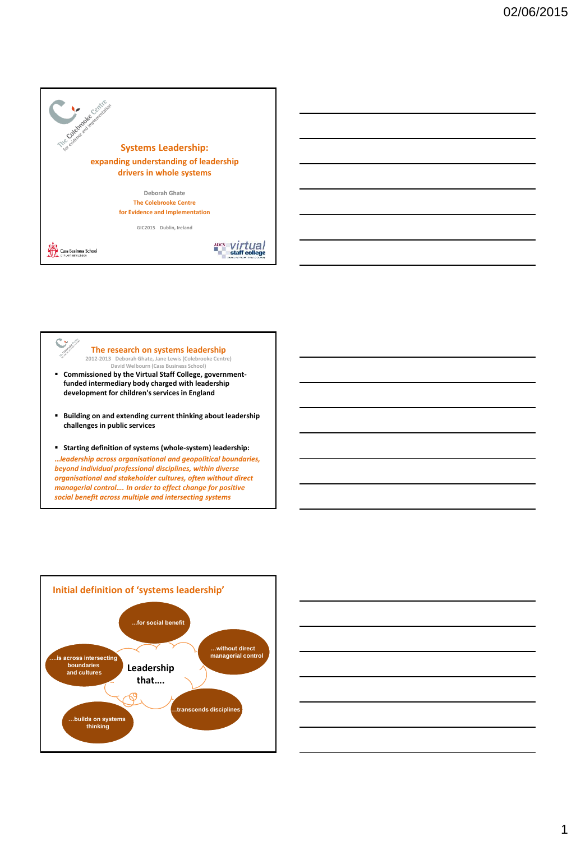



### **The research on systems leadership 2012-2013 Deborah Ghate, Jane Lewis (Colebrooke Centre)**

- **David Welbourn (Cass Business School) Commissioned by the Virtual Staff College, governmentfunded intermediary body charged with leadership development for children's services in England**
- **Building on and extending current thinking about leadership challenges in public services**
- **Starting definition of systems (whole-system) leadership:**

**…***leadership across organisational and geopolitical boundaries, beyond individual professional disciplines, within diverse organisational and stakeholder cultures, often without direct managerial control…. In order to effect change for positive social benefit across multiple and intersecting systems* 



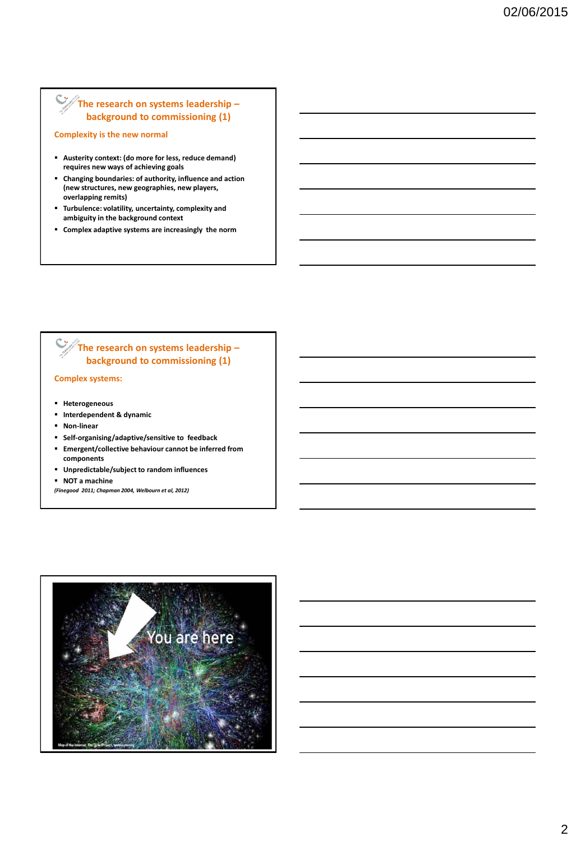# **The research on systems leadership – background to commissioning (1)**

**Complexity is the new normal**

- **Austerity context: (do more for less, reduce demand) requires new ways of achieving goals**
- **Changing boundaries: of authority, influence and action (new structures, new geographies, new players, overlapping remits)**
- **Turbulence: volatility, uncertainty, complexity and ambiguity in the background context**
- **Complex adaptive systems are increasingly the norm**

# **The research on systems leadership – background to commissioning (1)**

### **Complex systems:**

- **Heterogeneous**
- **Interdependent & dynamic**
- **Non-linear**
- **Self-organising/adaptive/sensitive to feedback**
- **Emergent/collective behaviour cannot be inferred from components**
- **Unpredictable/subject to random influences**
- **NOT a machine**
- *(Finegood 2011; Chapman 2004, Welbourn et al, 2012)*

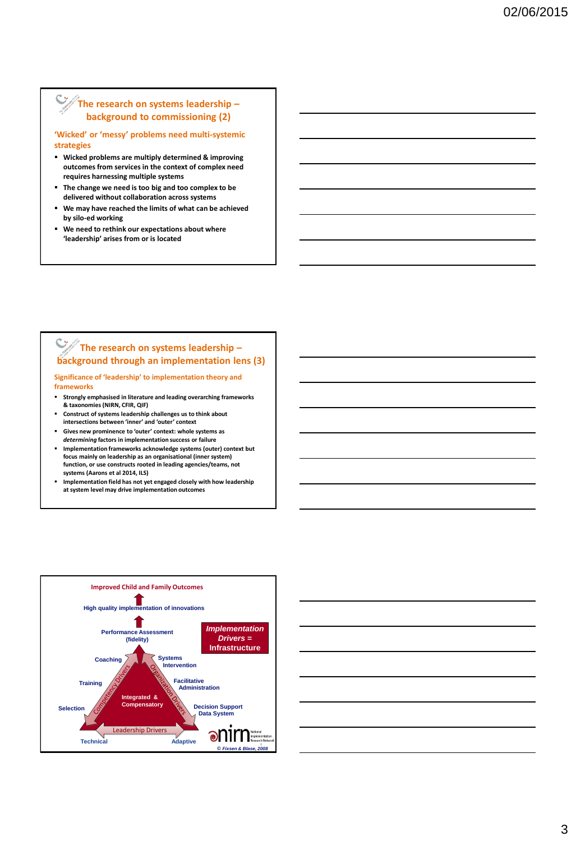### **The research on systems leadership – background to commissioning (2)**

**'Wicked' or 'messy' problems need multi-systemic strategies**

- **Wicked problems are multiply determined & improving outcomes from services in the context of complex need requires harnessing multiple systems**
- **The change we need is too big and too complex to be delivered without collaboration across systems**
- **We may have reached the limits of what can be achieved by silo-ed working**
- **We need to rethink our expectations about where 'leadership' arises from or is located**

### **The research on systems leadership – background through an implementation lens (3)**

**Significance of 'leadership' to implementation theory and frameworks**

- **Strongly emphasised in literature and leading overarching frameworks & taxonomies (NIRN, CFIR, QIF)**
- **Construct of systems leadership challenges us to think about intersections between 'inner' and 'outer' context**
- **Gives new prominence to 'outer' context: whole systems as**  *determining* **factors in implementation success or failure**
- **Implementation frameworks acknowledge systems (outer) context but focus mainly on leadership as an organisational (inner system) function, or use constructs rooted in leading agencies/teams, not systems (Aarons et al 2014, ILS)**
- **Implementation field has not yet engaged closely with how leadership at system level may drive implementation outcomes**



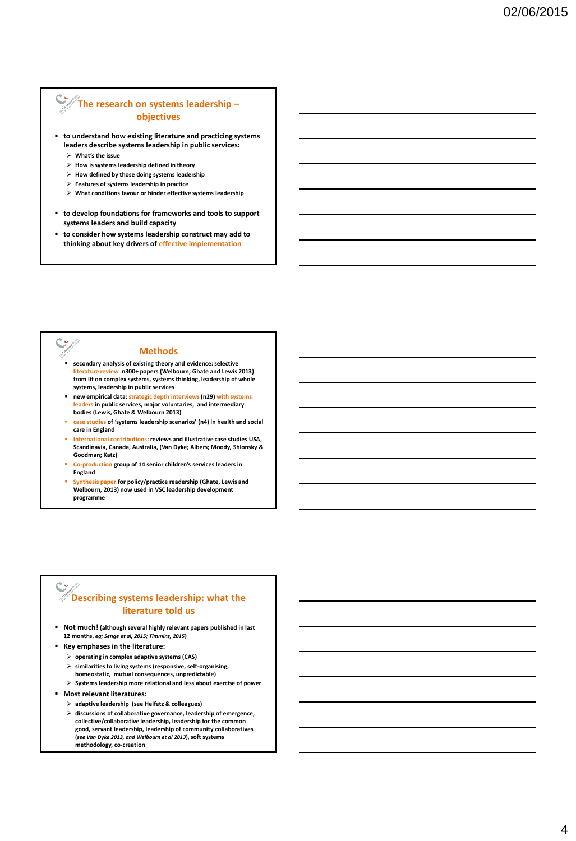### **The research on systems leadership – objectives**

- **to understand how existing literature and practicing systems leaders describe systems leadership in public services:**
	- **What's the issue**
	- **How is systems leadership defined in theory**
	- **How defined by those doing systems leadership**
	- **Features of systems leadership in practice**
	- **What conditions favour or hinder effective systems leadership**
- **to develop foundations for frameworks and tools to support systems leaders and build capacity**
- **to consider how systems leadership construct may add to thinking about key drivers of effective implementation**

 $\hat{\mathbf{C}}$ 

### **Methods**

- **secondary analysis of existing theory and evidence: selective literature review n300+ papers (Welbourn, Ghate and Lewis 2013) from lit on complex systems, systems thinking, leadership of whole systems, leadership in public services**
- **new empirical data: strategic depth interviews (n29) with systems leaders in public services, major voluntaries, and intermediary bodies (Lewis, Ghate & Welbourn 2013)**
- **case studies of 'systems leadership scenarios' (n4) in health and social care in England**
- **International contributions: reviews and illustrative case studies USA, Scandinavia, Canada, Australia, (Van Dyke; Albers; Moody, Shlonsky & Goodman; Katz)**
- **Co-production group of 14 senior children's services leaders in England**
- **Synthesis paper for policy/practice readership (Ghate, Lewis and Welbourn, 2013) now used in VSC leadership development programme**

# **Describing systems leadership: what the literature told us**

- **Not much! (although several highly relevant papers published in last 12 months,** *eg; Senge et al, 2015; Timmins, 2015***)**
- **Key emphases in the literature:**
	- **operating in complex adaptive systems (CAS)**
	- **similarities to living systems (responsive, self-organising, homeostatic, mutual consequences, unpredictable)**
- **Systems leadership more relational and less about exercise of power Most relevant literatures:**
- - **adaptive leadership (see Heifetz & colleagues)**
	- **discussions of collaborative governance, leadership of emergence, collective/collaborative leadership, leadership for the common good, servant leadership, leadership of community collaboratives (***see Van Dyke 2013, and Welbourn et al 2013***), soft systems methodology, co-creation**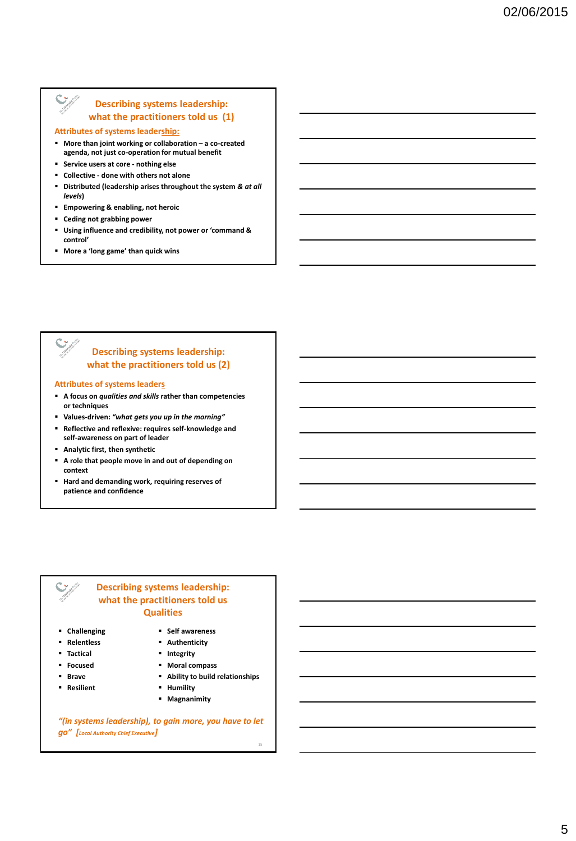### **Describing systems leadership: what the practitioners told us (1)**

### **Attributes of systems leadership:**

 $\mathbf C$ 

- **More than joint working or collaboration – a co-created agenda, not just co-operation for mutual benefit**
- **Service users at core - nothing else**
- **Collective - done with others not alone**
- **Distributed (leadership arises throughout the system** *& at all levels***)**
- **Empowering & enabling, not heroic**
- **Ceding not grabbing power**
- **Using influence and credibility, not power or 'command & control'**
- **More a 'long game' than quick wins**

# **Describing systems leadership: what the practitioners told us (2)**

### **Attributes of systems leaders**

- **A focus on** *qualities and skills* **rather than competencies or techniques**
- **Values-driven:** *"what gets you up in the morning"*
- **Reflective and reflexive: requires self-knowledge and self-awareness on part of leader**
- **Analytic first, then synthetic**
- **A role that people move in and out of depending on context**
- **Hard and demanding work, requiring reserves of patience and confidence**



### **Describing systems leadership: what the practitioners told us Qualities**

- **Challenging**
- **Relentless**
- **Tactical**
- **Focused**
- **Brave**
- **Resilient**
- **Moral compass Ability to build relationships** *Humility*

**Self awareness Authenticity F** Integrity

- 
- **Magnanimity**

15

*"(in systems leadership), to gain more, you have to let go" [Local Authority Chief Executive]*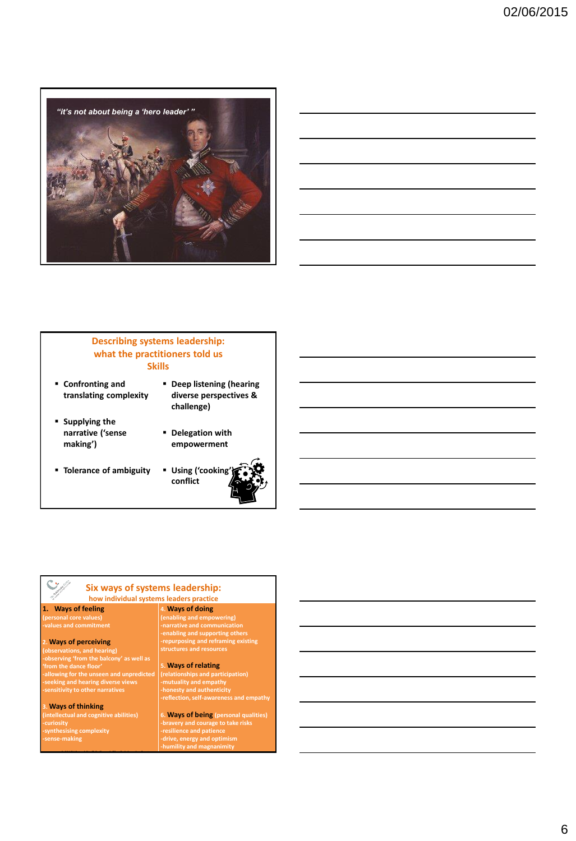

|  | <u> 1989 - Johann Barn, mars ann an t-Amhain ann an t-Amhain ann an t-Amhain ann an t-Amhain an t-Amhain ann an t-</u> |  |
|--|------------------------------------------------------------------------------------------------------------------------|--|
|  |                                                                                                                        |  |
|  | <u> 1989 - Andrea Andrew Maria (h. 1989).</u>                                                                          |  |
|  | <u> 1989 - Johann Stoff, amerikansk politiker (d. 1989)</u>                                                            |  |
|  |                                                                                                                        |  |
|  |                                                                                                                        |  |

### **Describing systems leadership: what the practitioners told us Skills**

- **Confronting and translating complexity**
- **supplying the narrative ('sense making')**
- **Tolerance of ambiguity**



 **Delegation with empowerment**



# **Six ways of systems leadership:**

### **how individual systems leaders practice 4. Ways of doing**

**1. Ways of feeling (personal core values) -values and commitment**

**2. Ways of perceiving (observations, and hearing) -observing 'from the balcony' as well as 'from the dance floor' -allowing for the unseen and unpredicted -seeking and hearing diverse views -sensitivity to other narratives**

**3. Ways of thinking** 

**ntellectual and cogr -curiosity -synthesising complexity -sense-making**

**© 2015 Virtual Staff College & The Colebrooke Centre**

# **-repurposing and reframing existing structures and resources**

**5. Ways of relating (relationships and participation) -mutuality and empathy -honesty and authenticity -reflection, self-awareness and empathy**

**(enabling and empowering) -narrative and communication -enabling and supporting others** 

**6. Ways of being (personal qualities) -bravery and courage to take risks -resilience and patience**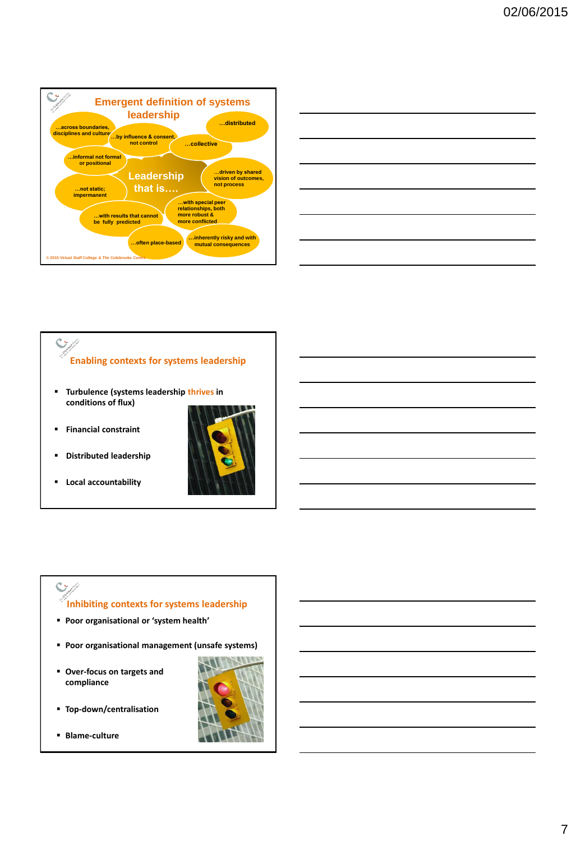

| <u> 1989 - Johann Barn, amerikansk politiker (d. 1989)</u> |  |  |
|------------------------------------------------------------|--|--|
|                                                            |  |  |
| <u> 1989 - Johann Barn, amerikansk politiker (</u>         |  |  |
|                                                            |  |  |
|                                                            |  |  |
|                                                            |  |  |
|                                                            |  |  |

# $\mathbb{C}_{\mathbb{Z}}$ **Enabling contexts for systems leadership**

- **Turbulence (systems leadership thrives in conditions of flux)**
- **Financial constraint**
- **Distributed leadership**
- **Local accountability**



# **Inhibiting contexts for systems leadership**

- **Poor organisational or 'system health'**
- **Poor organisational management (unsafe systems)**
- **Over-focus on targets and compliance**
- **Top-down/centralisation**
- **Blame-culture**

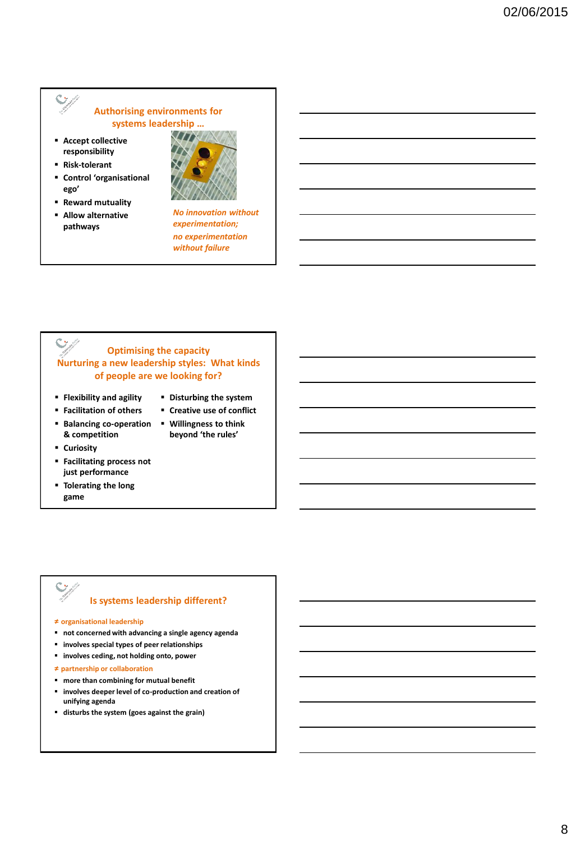# **Authorising environments for systems leadership …**

- **Accept collective responsibility**
- **Risk-tolerant**

 $\ddot{\textbf{C}}$ 

- **Control 'organisational ego'**
- **Reward mutuality**
- **Allow alternative pathways**



*No innovation without experimentation; no experimentation without failure* 

### $\hat{\mathbf{C}}$ **Optimising the capacity Nurturing a new leadership styles: What kinds of people are we looking for?**

- **Flexibility and agility Facilitation of others**
- **Disturbing the system**
- 
- **Balancing co-operation & competition**
- **Curiosity**
- **Facilitating process not just performance**
- **Tolerating the long game**

# **Creative use of conflict**

 **Willingness to think beyond 'the rules'**

# **Is systems leadership different?**

**≠ organisational leadership** 

- **not concerned with advancing a single agency agenda**
- **involves special types of peer relationships**
- **involves ceding, not holding onto, power**

**≠ partnership or collaboration** 

- **more than combining for mutual benefit**
- **involves deeper level of co-production and creation of unifying agenda**
- **disturbs the system (goes against the grain)**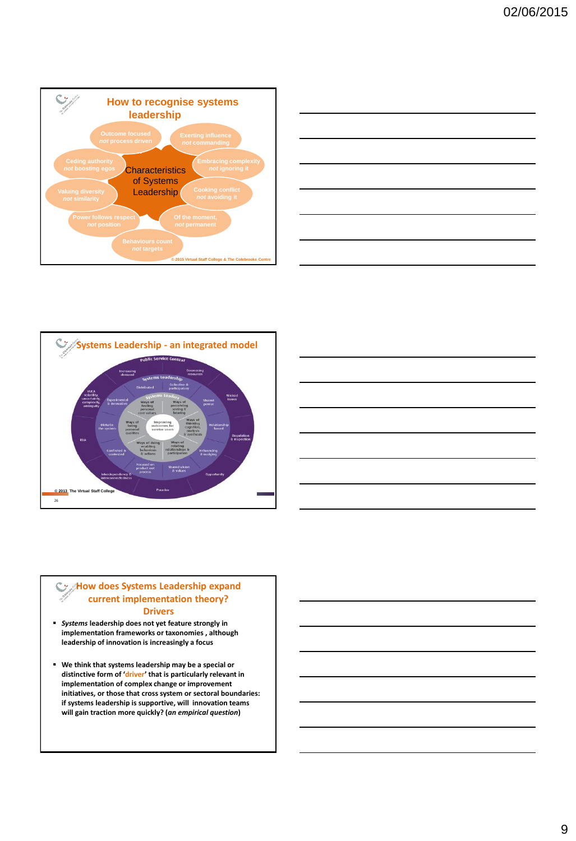







### **How does Systems Leadership expand current implementation theory? Drivers**

- *Systems* **leadership does not yet feature strongly in implementation frameworks or taxonomies , although leadership of innovation is increasingly a focus**
- **We think that systems leadership may be a special or distinctive form of 'driver' that is particularly relevant in implementation of complex change or improvement initiatives, or those that cross system or sectoral boundaries: if systems leadership is supportive, will innovation teams will gain traction more quickly? (***an empirical question***)**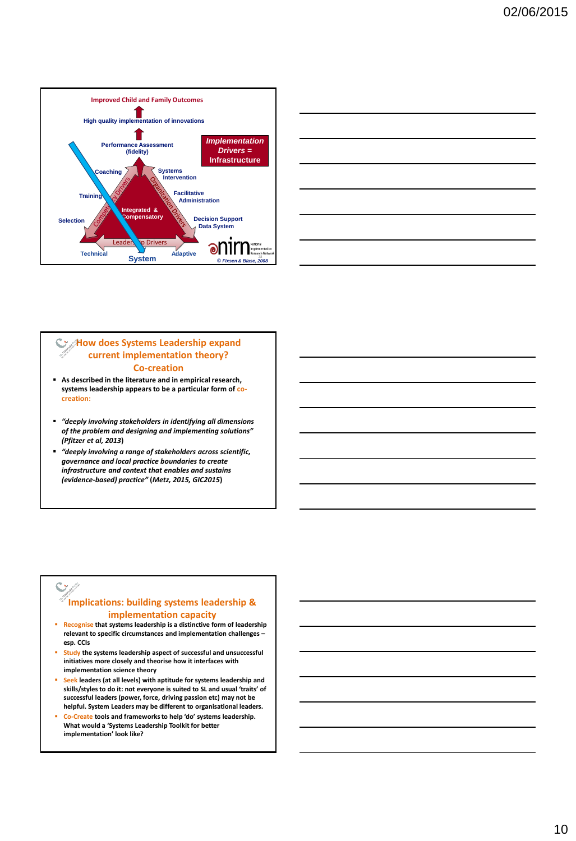



### **How does Systems Leadership expand current implementation theory? Co-creation**

- **As described in the literature and in empirical research, systems leadership appears to be a particular form of cocreation:**
- *"deeply involving stakeholders in identifying all dimensions of the problem and designing and implementing solutions" (Pfitzer et al, 2013***)**
- *"deeply involving a range of stakeholders across scientific, governance and local practice boundaries to create infrastructure and context that enables and sustains (evidence-based) practice"* **(***Metz, 2015, GIC2015***)**

# **Implications: building systems leadership & implementation capacity**

- **Recognise that systems leadership is a distinctive form of leadership relevant to specific circumstances and implementation challenges – esp. CCIs**
- **Study the systems leadership aspect of successful and unsuccessful initiatives more closely and theorise how it interfaces with implementation science theory**
- **Seek leaders (at all levels) with aptitude for systems leadership and skills/styles to do it: not everyone is suited to SL and usual 'traits' of successful leaders (power, force, driving passion etc) may not be helpful. System Leaders may be different to organisational leaders.**
- **Co-Create tools and frameworks to help 'do' systems leadership. What would a 'Systems Leadership Toolkit for better implementation' look like?**